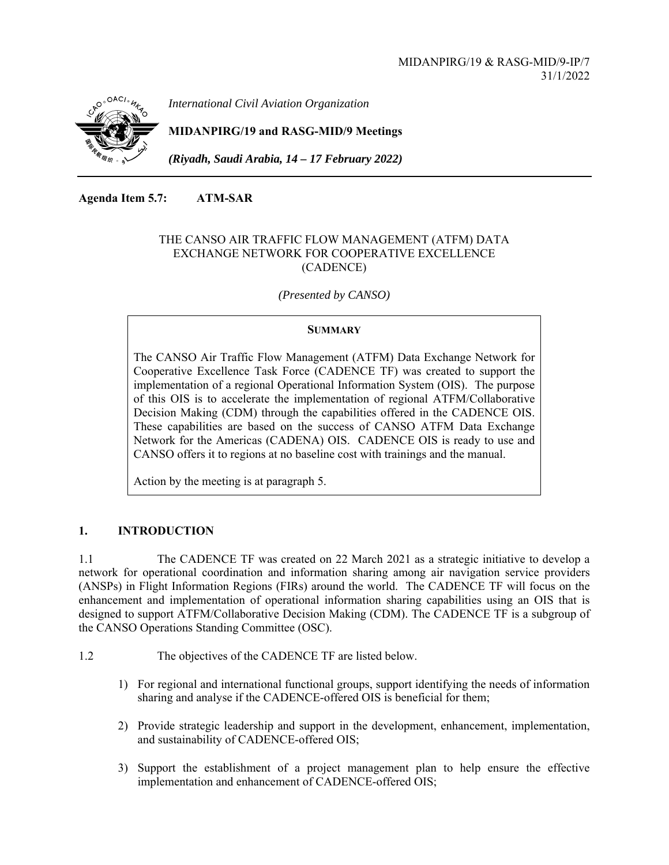

*International Civil Aviation Organization*

**MIDANPIRG/19 and RASG-MID/9 Meetings** 

*(Riyadh, Saudi Arabia, 14 – 17 February 2022)* 

**Agenda Item 5.7: ATM-SAR** 

## THE CANSO AIR TRAFFIC FLOW MANAGEMENT (ATFM) DATA EXCHANGE NETWORK FOR COOPERATIVE EXCELLENCE (CADENCE)

 *(Presented by CANSO)* 

### **SUMMARY**

The CANSO Air Traffic Flow Management (ATFM) Data Exchange Network for Cooperative Excellence Task Force (CADENCE TF) was created to support the implementation of a regional Operational Information System (OIS). The purpose of this OIS is to accelerate the implementation of regional ATFM/Collaborative Decision Making (CDM) through the capabilities offered in the CADENCE OIS. These capabilities are based on the success of CANSO ATFM Data Exchange Network for the Americas (CADENA) OIS. CADENCE OIS is ready to use and CANSO offers it to regions at no baseline cost with trainings and the manual.

Action by the meeting is at paragraph 5.

## **1. INTRODUCTION**

1.1 The CADENCE TF was created on 22 March 2021 as a strategic initiative to develop a network for operational coordination and information sharing among air navigation service providers (ANSPs) in Flight Information Regions (FIRs) around the world. The CADENCE TF will focus on the enhancement and implementation of operational information sharing capabilities using an OIS that is designed to support ATFM/Collaborative Decision Making (CDM). The CADENCE TF is a subgroup of the CANSO Operations Standing Committee (OSC).

- 1.2 The objectives of the CADENCE TF are listed below.
	- 1) For regional and international functional groups, support identifying the needs of information sharing and analyse if the CADENCE-offered OIS is beneficial for them;
	- 2) Provide strategic leadership and support in the development, enhancement, implementation, and sustainability of CADENCE-offered OIS;
	- 3) Support the establishment of a project management plan to help ensure the effective implementation and enhancement of CADENCE-offered OIS;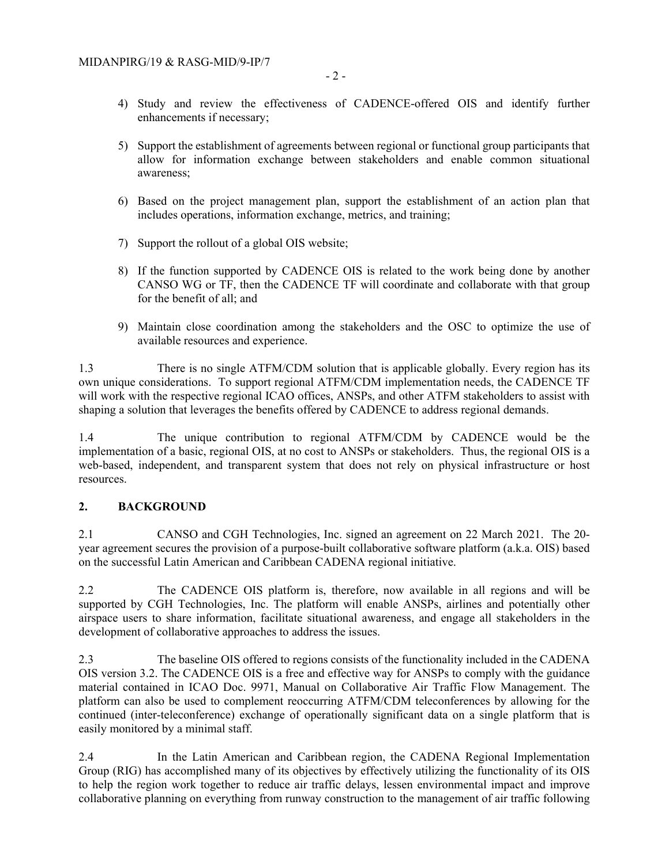- 4) Study and review the effectiveness of CADENCE-offered OIS and identify further enhancements if necessary;
- 5) Support the establishment of agreements between regional or functional group participants that allow for information exchange between stakeholders and enable common situational awareness;
- 6) Based on the project management plan, support the establishment of an action plan that includes operations, information exchange, metrics, and training;
- 7) Support the rollout of a global OIS website;
- 8) If the function supported by CADENCE OIS is related to the work being done by another CANSO WG or TF, then the CADENCE TF will coordinate and collaborate with that group for the benefit of all; and
- 9) Maintain close coordination among the stakeholders and the OSC to optimize the use of available resources and experience.

1.3 There is no single ATFM/CDM solution that is applicable globally. Every region has its own unique considerations. To support regional ATFM/CDM implementation needs, the CADENCE TF will work with the respective regional ICAO offices, ANSPs, and other ATFM stakeholders to assist with shaping a solution that leverages the benefits offered by CADENCE to address regional demands.

1.4 The unique contribution to regional ATFM/CDM by CADENCE would be the implementation of a basic, regional OIS, at no cost to ANSPs or stakeholders. Thus, the regional OIS is a web-based, independent, and transparent system that does not rely on physical infrastructure or host resources.

#### **2. BACKGROUND**

2.1 CANSO and CGH Technologies, Inc. signed an agreement on 22 March 2021. The 20 year agreement secures the provision of a purpose-built collaborative software platform (a.k.a. OIS) based on the successful Latin American and Caribbean CADENA regional initiative.

2.2 The CADENCE OIS platform is, therefore, now available in all regions and will be supported by CGH Technologies, Inc. The platform will enable ANSPs, airlines and potentially other airspace users to share information, facilitate situational awareness, and engage all stakeholders in the development of collaborative approaches to address the issues.

2.3 The baseline OIS offered to regions consists of the functionality included in the CADENA OIS version 3.2. The CADENCE OIS is a free and effective way for ANSPs to comply with the guidance material contained in ICAO Doc. 9971, Manual on Collaborative Air Traffic Flow Management. The platform can also be used to complement reoccurring ATFM/CDM teleconferences by allowing for the continued (inter-teleconference) exchange of operationally significant data on a single platform that is easily monitored by a minimal staff.

2.4 In the Latin American and Caribbean region, the CADENA Regional Implementation Group (RIG) has accomplished many of its objectives by effectively utilizing the functionality of its OIS to help the region work together to reduce air traffic delays, lessen environmental impact and improve collaborative planning on everything from runway construction to the management of air traffic following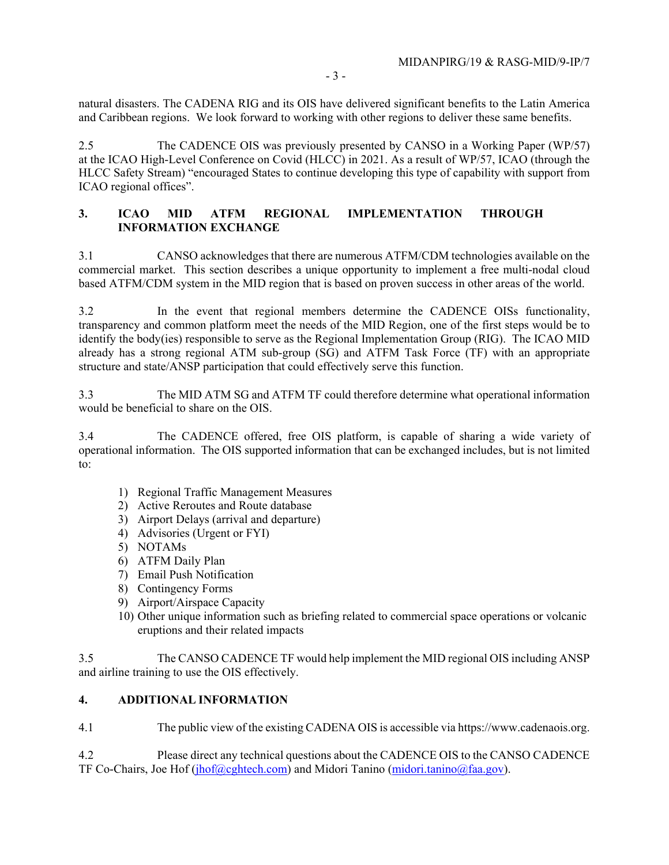natural disasters. The CADENA RIG and its OIS have delivered significant benefits to the Latin America and Caribbean regions. We look forward to working with other regions to deliver these same benefits.

2.5 The CADENCE OIS was previously presented by CANSO in a Working Paper (WP/57) at the ICAO High-Level Conference on Covid (HLCC) in 2021. As a result of WP/57, ICAO (through the HLCC Safety Stream) "encouraged States to continue developing this type of capability with support from ICAO regional offices".

## **3. ICAO MID ATFM REGIONAL IMPLEMENTATION THROUGH INFORMATION EXCHANGE**

3.1 CANSO acknowledges that there are numerous ATFM/CDM technologies available on the commercial market. This section describes a unique opportunity to implement a free multi-nodal cloud based ATFM/CDM system in the MID region that is based on proven success in other areas of the world.

3.2 In the event that regional members determine the CADENCE OISs functionality, transparency and common platform meet the needs of the MID Region, one of the first steps would be to identify the body(ies) responsible to serve as the Regional Implementation Group (RIG). The ICAO MID already has a strong regional ATM sub-group (SG) and ATFM Task Force (TF) with an appropriate structure and state/ANSP participation that could effectively serve this function.

3.3 The MID ATM SG and ATFM TF could therefore determine what operational information would be beneficial to share on the OIS.

3.4 The CADENCE offered, free OIS platform, is capable of sharing a wide variety of operational information. The OIS supported information that can be exchanged includes, but is not limited to:

- 1) Regional Traffic Management Measures
- 2) Active Reroutes and Route database
- 3) Airport Delays (arrival and departure)
- 4) Advisories (Urgent or FYI)
- 5) NOTAMs
- 6) ATFM Daily Plan
- 7) Email Push Notification
- 8) Contingency Forms
- 9) Airport/Airspace Capacity
- 10) Other unique information such as briefing related to commercial space operations or volcanic eruptions and their related impacts

3.5 The CANSO CADENCE TF would help implement the MID regional OIS including ANSP and airline training to use the OIS effectively.

### **4. ADDITIONAL INFORMATION**

4.1 The public view of the existing CADENA OIS is accessible via https://www.cadenaois.org.

4.2 Please direct any technical questions about the CADENCE OIS to the CANSO CADENCE TF Co-Chairs, Joe Hof (jhof@cghtech.com) and Midori Tanino (midori.tanino@faa.gov).